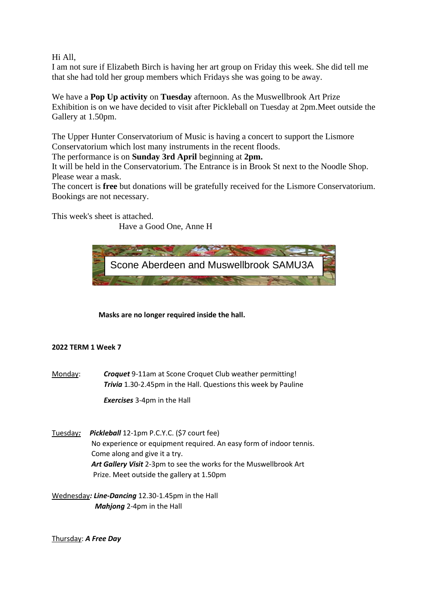## Hi All,

I am not sure if Elizabeth Birch is having her art group on Friday this week. She did tell me that she had told her group members which Fridays she was going to be away.

We have a **Pop Up activity** on **Tuesday** afternoon. As the Muswellbrook Art Prize Exhibition is on we have decided to visit after Pickleball on Tuesday at 2pm.Meet outside the Gallery at 1.50pm.

The Upper Hunter Conservatorium of Music is having a concert to support the Lismore Conservatorium which lost many instruments in the recent floods.

The performance is on **Sunday 3rd April** beginning at **2pm.**

It will be held in the Conservatorium. The Entrance is in Brook St next to the Noodle Shop. Please wear a mask.

The concert is **free** but donations will be gratefully received for the Lismore Conservatorium. Bookings are not necessary.

This week's sheet is attached.

Have a Good One, Anne H



 **Masks are no longer required inside the hall.**

## **2022 TERM 1 Week 7**

Monday: *Croquet* 9-11am at Scone Croquet Club weather permitting! *Trivia* 1.30-2.45pm in the Hall. Questions this week by Pauline

*Exercises* 3-4pm in the Hall

- Tuesday*: Pickleball* 12-1pm P.C.Y.C. (\$7 court fee) No experience or equipment required. An easy form of indoor tennis. Come along and give it a try. *Art Gallery Visit* 2-3pm to see the works for the Muswellbrook Art Prize. Meet outside the gallery at 1.50pm
- Wednesday*: Line-Dancing* 12.30-1.45pm in the Hall  *Mahjong* 2-4pm in the Hall

Thursday: *A Free Day*